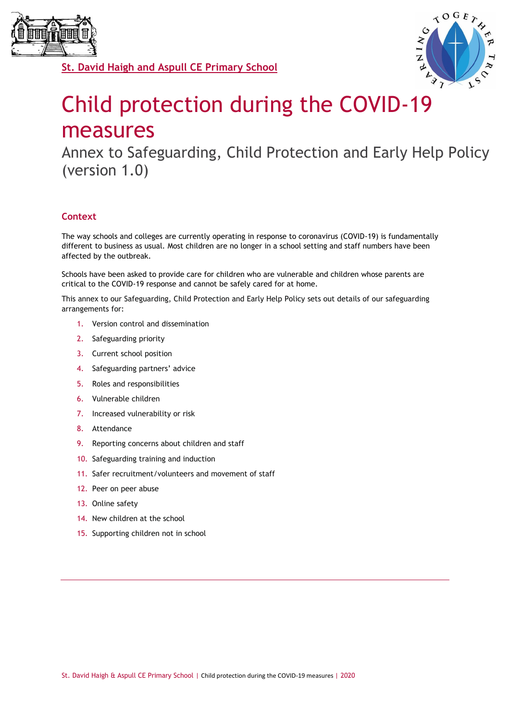



# Child protection during the COVID-19 measures

Annex to Safeguarding, Child Protection and Early Help Policy (version 1.0)

# **Context**

The way schools and colleges are currently operating in response to coronavirus (COVID-19) is fundamentally different to business as usual. Most children are no longer in a school setting and staff numbers have been affected by the outbreak.

Schools have been asked to provide care for children who are vulnerable and children whose parents are critical to the COVID-19 response and cannot be safely cared for at home.

This annex to our Safeguarding, Child Protection and Early Help Policy sets out details of our safeguarding arrangements for:

- 1. Version control and dissemination
- 2. Safeguarding priority
- 3. Current school position
- 4. Safeguarding partners' advice
- 5. Roles and responsibilities
- 6. Vulnerable children
- 7. Increased vulnerability or risk
- 8. Attendance
- 9. Reporting concerns about children and staff
- 10. Safeguarding training and induction
- 11. Safer recruitment/volunteers and movement of staff
- 12. Peer on peer abuse
- 13. Online safety
- 14. New children at the school
- 15. Supporting children not in school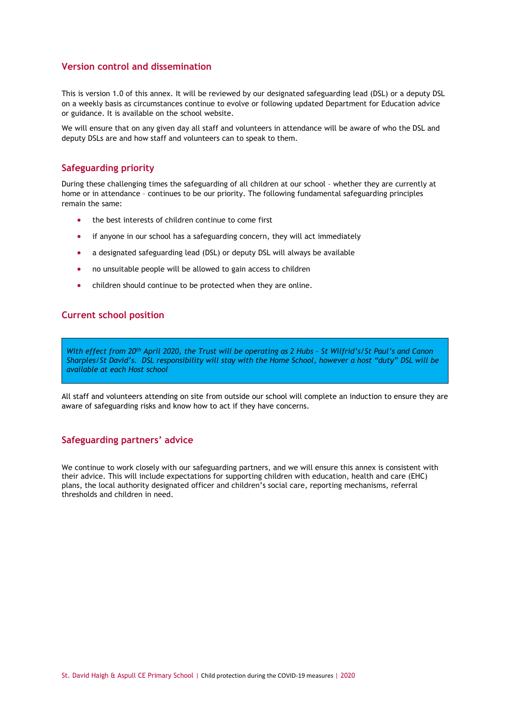# **Version control and dissemination**

This is version 1.0 of this annex. It will be reviewed by our designated safeguarding lead (DSL) or a deputy DSL on a weekly basis as circumstances continue to evolve or following updated Department for Education advice or guidance. It is available on the school website.

We will ensure that on any given day all staff and volunteers in attendance will be aware of who the DSL and deputy DSLs are and how staff and volunteers can to speak to them.

## **Safeguarding priority**

During these challenging times the safeguarding of all children at our school – whether they are currently at home or in attendance – continues to be our priority. The following fundamental safeguarding principles remain the same:

- the best interests of children continue to come first
- if anyone in our school has a safeguarding concern, they will act immediately
- a designated safeguarding lead (DSL) or deputy DSL will always be available
- no unsuitable people will be allowed to gain access to children
- children should continue to be protected when they are online.

# **Current school position**

*With effect from 20th April 2020, the Trust will be operating as 2 Hubs – St Wilfrid's/St Paul's and Canon Sharples/St David's. DSL responsibility will stay with the Home School, however a host "duty" DSL will be available at each Host school*

All staff and volunteers attending on site from outside our school will complete an induction to ensure they are aware of safeguarding risks and know how to act if they have concerns.

## **Safeguarding partners' advice**

We continue to work closely with our safeguarding partners, and we will ensure this annex is consistent with their advice. This will include expectations for supporting children with education, health and care (EHC) plans, the local authority designated officer and children's social care, reporting mechanisms, referral thresholds and children in need.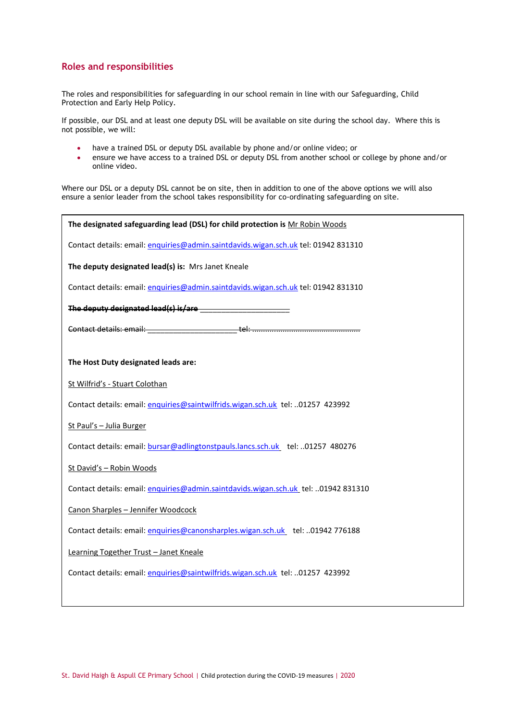# **Roles and responsibilities**

The roles and responsibilities for safeguarding in our school remain in line with our Safeguarding, Child Protection and Early Help Policy.

If possible, our DSL and at least one deputy DSL will be available on site during the school day. Where this is not possible, we will:

- have a trained DSL or deputy DSL available by phone and/or online video; or
- ensure we have access to a trained DSL or deputy DSL from another school or college by phone and/or online video.

Where our DSL or a deputy DSL cannot be on site, then in addition to one of the above options we will also ensure a senior leader from the school takes responsibility for co-ordinating safeguarding on site.

| The designated safeguarding lead (DSL) for child protection is Mr Robin Woods      |
|------------------------------------------------------------------------------------|
| Contact details: email: enquiries@admin.saintdavids.wigan.sch.uk tel: 01942 831310 |
| The deputy designated lead(s) is: Mrs Janet Kneale                                 |
| Contact details: email: enquiries@admin.saintdavids.wigan.sch.uk tel: 01942 831310 |
|                                                                                    |
|                                                                                    |
|                                                                                    |
| The Host Duty designated leads are:                                                |
| St Wilfrid's - Stuart Colothan                                                     |
| Contact details: email: enguiries@saintwilfrids.wigan.sch.uk tel: 01257 423992     |
| St Paul's - Julia Burger                                                           |
| Contact details: email: bursar@adlingtonstpauls.lancs.sch.uk_tel: 01257 480276     |
| St David's - Robin Woods                                                           |
| Contact details: email: enguiries@admin.saintdavids.wigan.sch.uk_tel: 01942 831310 |
| Canon Sharples - Jennifer Woodcock                                                 |
| Contact details: email: enguiries@canonsharples.wigan.sch.uk_tel: 01942 776188     |
| Learning Together Trust - Janet Kneale                                             |
| Contact details: email: enguiries@saintwilfrids.wigan.sch.uk tel: 01257 423992     |
|                                                                                    |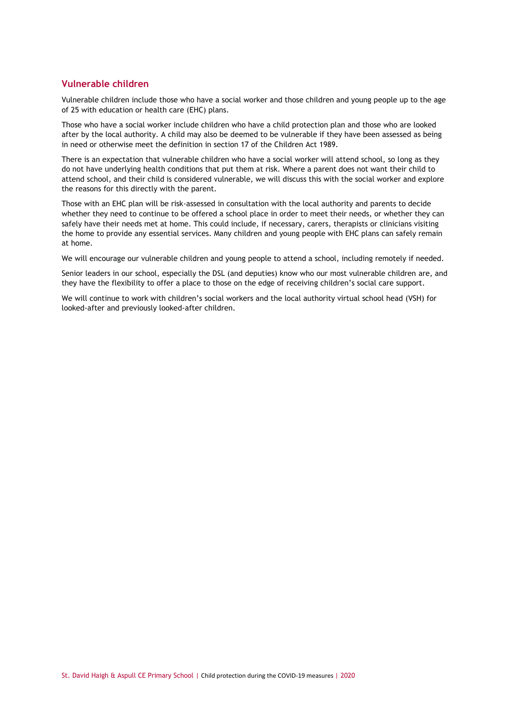# **Vulnerable children**

Vulnerable children include those who have a social worker and those children and young people up to the age of 25 with education or health care (EHC) plans.

Those who have a social worker include children who have a child protection plan and those who are looked after by the local authority. A child may also be deemed to be vulnerable if they have been assessed as being in need or otherwise meet the definition in section 17 of the Children Act 1989.

There is an expectation that vulnerable children who have a social worker will attend school, so long as they do not have underlying health conditions that put them at risk. Where a parent does not want their child to attend school, and their child is considered vulnerable, we will discuss this with the social worker and explore the reasons for this directly with the parent.

Those with an EHC plan will be risk-assessed in consultation with the local authority and parents to decide whether they need to continue to be offered a school place in order to meet their needs, or whether they can safely have their needs met at home. This could include, if necessary, carers, therapists or clinicians visiting the home to provide any essential services. Many children and young people with EHC plans can safely remain at home.

We will encourage our vulnerable children and young people to attend a school, including remotely if needed.

Senior leaders in our school, especially the DSL (and deputies) know who our most vulnerable children are, and they have the flexibility to offer a place to those on the edge of receiving children's social care support.

We will continue to work with children's social workers and the local authority virtual school head (VSH) for looked-after and previously looked-after children.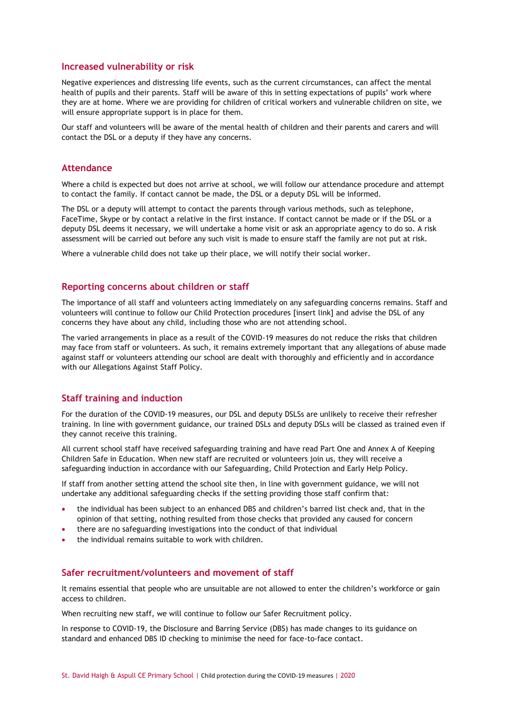#### **Increased vulnerability or risk**

Negative experiences and distressing life events, such as the current circumstances, can affect the mental health of pupils and their parents. Staff will be aware of this in setting expectations of pupils' work where they are at home. Where we are providing for children of critical workers and vulnerable children on site, we will ensure appropriate support is in place for them.

Our staff and volunteers will be aware of the mental health of [children](https://safeguarding.network/safeguarding-resources/specific-risks-children-additional-needs/mental-health/) and their [parents and carers](https://safeguarding.network/safeguarding-resources/parental-issues/parental-mental-ill-health/) and will contact the DSL or a deputy if they have any concerns.

#### **Attendance**

Where a child is expected but does not arrive at school, we will follow our attendance procedure and attempt to contact the family. If contact cannot be made, the DSL or a deputy DSL will be informed.

The DSL or a deputy will attempt to contact the parents through various methods, such as telephone, FaceTime, Skype or by contact a relative in the first instance. If contact cannot be made or if the DSL or a deputy DSL deems it necessary, we will undertake a home visit or ask an appropriate agency to do so. A risk assessment will be carried out before any such visit is made to ensure staff the family are not put at risk.

Where a vulnerable child does not take up their place, we will notify their social worker.

#### **Reporting concerns about children or staff**

The importance of all staff and volunteers acting immediately on any safeguarding concerns remains. Staff and volunteers will continue to follow our Child Protection procedures [insert link] and advise the DSL of any concerns they have about any child, including those who are not attending school.

The varied arrangements in place as a result of the COVID-19 measures do not reduce the risks that children may face from staff or volunteers. As such, it remains extremely important that any allegations of abuse made against staff or volunteers attending our school are dealt with thoroughly and efficiently and in accordance with our Allegations Against Staff Policy.

# **Staff training and induction**

For the duration of the COVID-19 measures, our DSL and deputy DSLSs are unlikely to receive their refresher training. In line with government guidance, our trained DSLs and deputy DSLs will be classed as trained even if they cannot receive this training.

All current school staff have received safeguarding training and have read Part One and Annex A of Keeping Children Safe in Education. When new staff are recruited or volunteers join us, they will receive a safeguarding induction in accordance with our Safeguarding, Child Protection and Early Help Policy.

If staff from another setting attend the school site then, in line with government guidance, we will not undertake any additional safeguarding checks if the setting providing those staff confirm that:

- the individual has been subject to an enhanced DBS and children's barred list check and, that in the opinion of that setting, nothing resulted from those checks that provided any caused for concern
- there are no safeguarding investigations into the conduct of that individual
- the individual remains suitable to work with children.

# **Safer recruitment/volunteers and movement of staff**

It remains essential that people who are unsuitable are not allowed to enter the children's workforce or gain access to children.

When recruiting new staff, we will continue to follow our Safer Recruitment policy.

In response to COVID-19, the Disclosure and Barring Service (DBS) has made changes to its guidance on standard and enhanced DBS ID checking to minimise the need for face-to-face contact.